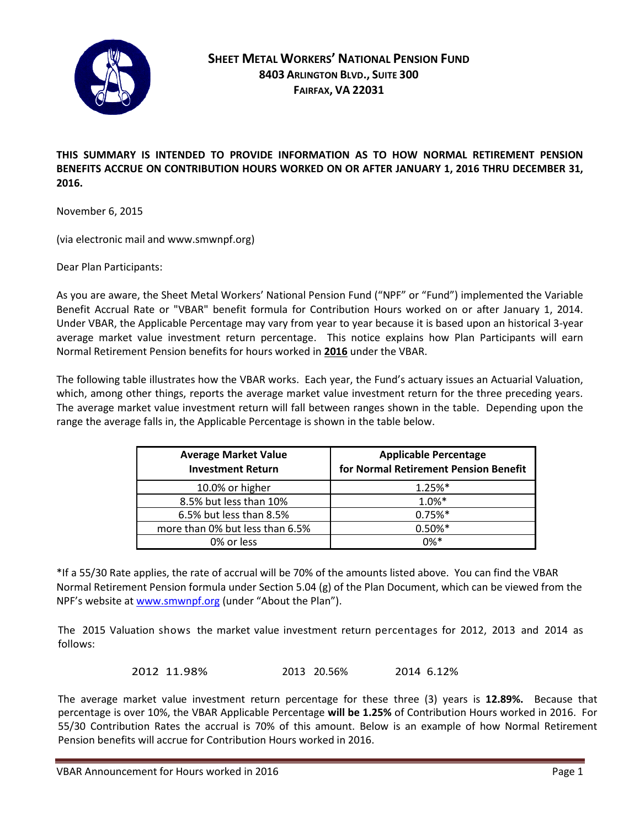

**THIS SUMMARY IS INTENDED TO PROVIDE INFORMATION AS TO HOW NORMAL RETIREMENT PENSION BENEFITS ACCRUE ON CONTRIBUTION HOURS WORKED ON OR AFTER JANUARY 1, 2016 THRU DECEMBER 31, 2016.** 

November 6, 2015

(via electronic mail and www.smwnpf.org)

Dear Plan Participants:

As you are aware, the Sheet Metal Workers' National Pension Fund ("NPF" or "Fund") implemented the Variable Benefit Accrual Rate or "VBAR" benefit formula for Contribution Hours worked on or after January 1, 2014. Under VBAR, the Applicable Percentage may vary from year to year because it is based upon an historical 3-year average market value investment return percentage. This notice explains how Plan Participants will earn Normal Retirement Pension benefits for hours worked in **2016** under the VBAR.

The following table illustrates how the VBAR works. Each year, the Fund's actuary issues an Actuarial Valuation, which, among other things, reports the average market value investment return for the three preceding years. The average market value investment return will fall between ranges shown in the table. Depending upon the range the average falls in, the Applicable Percentage is shown in the table below.

| <b>Average Market Value</b><br><b>Investment Return</b> | <b>Applicable Percentage</b><br>for Normal Retirement Pension Benefit |
|---------------------------------------------------------|-----------------------------------------------------------------------|
| 10.0% or higher                                         | 1.25%*                                                                |
| 8.5% but less than 10%                                  | 1.0%*                                                                 |
| 6.5% but less than 8.5%                                 | $0.75%$ *                                                             |
| more than 0% but less than 6.5%                         | $0.50\%*$                                                             |
| 0% or less                                              | $0\%*$                                                                |

\*If a 55/30 Rate applies, the rate of accrual will be 70% of the amounts listed above. You can find the VBAR Normal Retirement Pension formula under Section 5.04 (g) of the Plan Document, which can be viewed from the NPF's website at [www.smwnpf.org](http://www.smwnpf.org/) (under "About the Plan").

The 2015 Valuation shows the market value investment return percentages for 2012, 2013 and 2014 as follows:

2012 11.98% 2013 20.56% 2014 6.12%

The average market value investment return percentage for these three (3) years is **12.89%.** Because that percentage is over 10%, the VBAR Applicable Percentage **will be 1.25%** of Contribution Hours worked in 2016. For 55/30 Contribution Rates the accrual is 70% of this amount. Below is an example of how Normal Retirement Pension benefits will accrue for Contribution Hours worked in 2016.